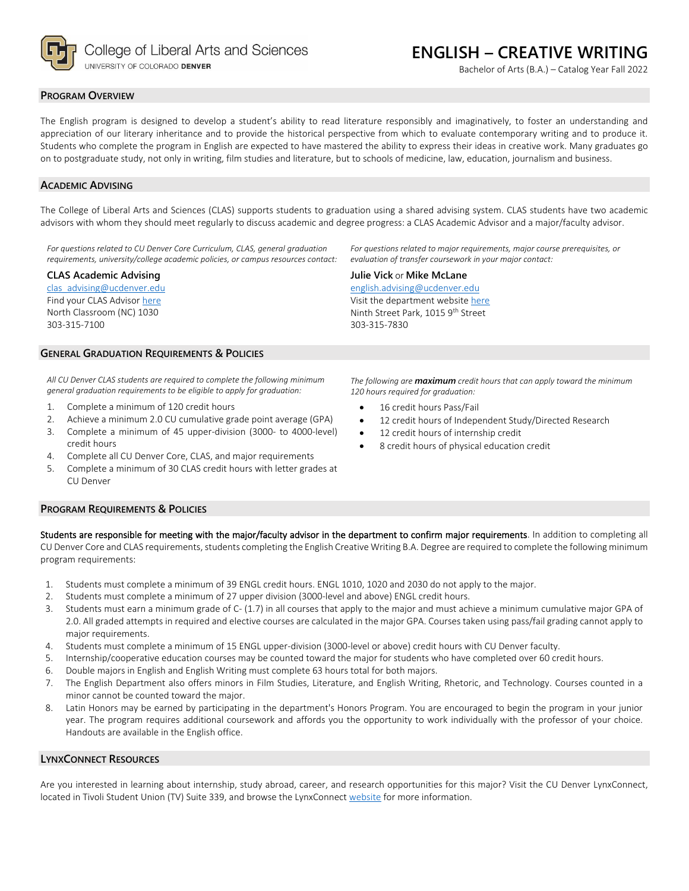

College of Liberal Arts and Sciences UNIVERSITY OF COLORADO DENVER

**ENGLISH – CREATIVE WRITING**

Bachelor of Arts (B.A.) – Catalog Year Fall 2022

## **PROGRAM OVERVIEW**

The English program is designed to develop a student's ability to read literature responsibly and imaginatively, to foster an understanding and appreciation of our literary inheritance and to provide the historical perspective from which to evaluate contemporary writing and to produce it. Students who complete the program in English are expected to have mastered the ability to express their ideas in creative work. Many graduates go on to postgraduate study, not only in writing, film studies and literature, but to schools of medicine, law, education, journalism and business.

# **ACADEMIC ADVISING**

The College of Liberal Arts and Sciences (CLAS) supports students to graduation using a shared advising system. CLAS students have two academic advisors with whom they should meet regularly to discuss academic and degree progress: a CLAS Academic Advisor and a major/faculty advisor.

*For questions related to CU Denver Core Curriculum, CLAS, general graduation requirements, university/college academic policies, or campus resources contact:*

## **CLAS Academic Advising**

[clas\\_advising@ucdenver.edu](mailto:clas_advising@ucdenver.edu) Find your CLAS Adviso[r here](https://clas.ucdenver.edu/advising/) North Classroom (NC) 1030 303-315-7100

#### **GENERAL GRADUATION REQUIREMENTS & POLICIES**

*All CU Denver CLAS students are required to complete the following minimum general graduation requirements to be eligible to apply for graduation:*

- 1. Complete a minimum of 120 credit hours
- 2. Achieve a minimum 2.0 CU cumulative grade point average (GPA)
- 3. Complete a minimum of 45 upper-division (3000- to 4000-level) credit hours
- 4. Complete all CU Denver Core, CLAS, and major requirements
- 5. Complete a minimum of 30 CLAS credit hours with letter grades at CU Denver

**PROGRAM REQUIREMENTS & POLICIES**

Students are responsible for meeting with the major/faculty advisor in the department to confirm major requirements. In addition to completing all CU Denver Core and CLAS requirements, students completing the English Creative Writing B.A. Degree are required to complete the following minimum program requirements:

- 1. Students must complete a minimum of 39 ENGL credit hours. ENGL 1010, 1020 and 2030 do not apply to the major.
- 2. Students must complete a minimum of 27 upper division (3000-level and above) ENGL credit hours.
- 3. Students must earn a minimum grade of C- (1.7) in all courses that apply to the major and must achieve a minimum cumulative major GPA of 2.0. All graded attempts in required and elective courses are calculated in the major GPA. Courses taken using pass/fail grading cannot apply to major requirements.
- 4. Students must complete a minimum of 15 ENGL upper-division (3000-level or above) credit hours with CU Denver faculty.
- 5. Internship/cooperative education courses may be counted toward the major for students who have completed over 60 credit hours.
- 6. Double majors in English and English Writing must complete 63 hours total for both majors.
- 7. The English Department also offers minors in Film Studies, Literature, and English Writing, Rhetoric, and Technology. Courses counted in a minor cannot be counted toward the major.
- 8. Latin Honors may be earned by participating in the department's Honors Program. You are encouraged to begin the program in your junior year. The program requires additional coursework and affords you the opportunity to work individually with the professor of your choice. Handouts are available in the English office.

#### **LYNXCONNECT RESOURCES**

Are you interested in learning about internship, study abroad, career, and research opportunities for this major? Visit the CU Denver LynxConnect, located in Tivoli Student Union (TV) Suite 339, and browse the LynxConnec[t website](http://www.ucdenver.edu/lynxconnect/Pages/default.aspx) for more information.

*For questions related to major requirements, major course prerequisites, or evaluation of transfer coursework in your major contact:*

#### **Julie Vick** or **Mike McLane**

[english.advising@ucdenver.edu](mailto:english.advising@ucdenver.edu) Visit the department websit[e here](https://clas.ucdenver.edu/english/english-creative-writing) Ninth Street Park, 1015 9<sup>th</sup> Street 303-315-7830

*The following are maximum credit hours that can apply toward the minimum 120 hours required for graduation:*

- 16 credit hours Pass/Fail
- 12 credit hours of Independent Study/Directed Research
- 12 credit hours of internship credit
- 8 credit hours of physical education credit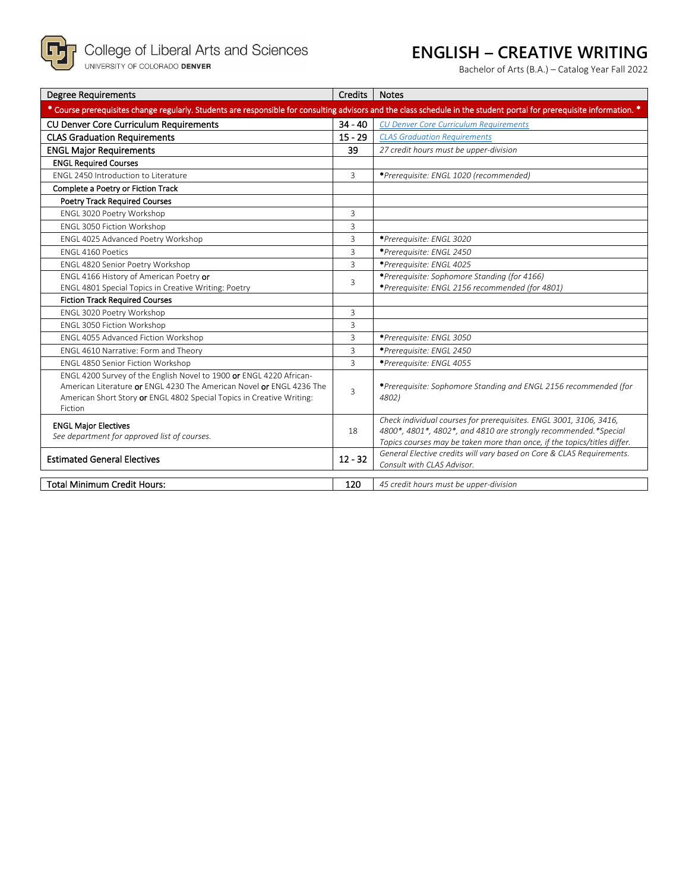

# **ENGLISH – CREATIVE WRITING**

Bachelor of Arts (B.A.) – Catalog Year Fall 2022

| <b>Degree Requirements</b>                                                                                                                                                                                                      | <b>Credits</b> | <b>Notes</b>                                                                                                                                                                                                       |  |  |  |  |
|---------------------------------------------------------------------------------------------------------------------------------------------------------------------------------------------------------------------------------|----------------|--------------------------------------------------------------------------------------------------------------------------------------------------------------------------------------------------------------------|--|--|--|--|
| * Course prerequisites change regularly. Students are responsible for consulting advisors and the class schedule in the student portal for prerequisite information. *                                                          |                |                                                                                                                                                                                                                    |  |  |  |  |
| <b>CU Denver Core Curriculum Requirements</b>                                                                                                                                                                                   | $34 - 40$      | <b>CU Denver Core Curriculum Requirements</b>                                                                                                                                                                      |  |  |  |  |
| <b>CLAS Graduation Requirements</b>                                                                                                                                                                                             | $15 - 29$      | <b>CLAS Graduation Requirements</b>                                                                                                                                                                                |  |  |  |  |
| <b>ENGL Major Requirements</b>                                                                                                                                                                                                  | 39             | 27 credit hours must be upper-division                                                                                                                                                                             |  |  |  |  |
| <b>ENGL Required Courses</b>                                                                                                                                                                                                    |                |                                                                                                                                                                                                                    |  |  |  |  |
| ENGL 2450 Introduction to Literature                                                                                                                                                                                            | 3              | *Prerequisite: ENGL 1020 (recommended)                                                                                                                                                                             |  |  |  |  |
| Complete a Poetry or Fiction Track                                                                                                                                                                                              |                |                                                                                                                                                                                                                    |  |  |  |  |
| <b>Poetry Track Required Courses</b>                                                                                                                                                                                            |                |                                                                                                                                                                                                                    |  |  |  |  |
| ENGL 3020 Poetry Workshop                                                                                                                                                                                                       | 3              |                                                                                                                                                                                                                    |  |  |  |  |
| ENGL 3050 Fiction Workshop                                                                                                                                                                                                      | 3              |                                                                                                                                                                                                                    |  |  |  |  |
| ENGL 4025 Advanced Poetry Workshop                                                                                                                                                                                              | 3              | *Prerequisite: ENGL 3020                                                                                                                                                                                           |  |  |  |  |
| FNGL 4160 Poetics                                                                                                                                                                                                               | 3              | *Prerequisite: ENGL 2450                                                                                                                                                                                           |  |  |  |  |
| ENGL 4820 Senior Poetry Workshop                                                                                                                                                                                                | 3              | *Prerequisite: ENGL 4025                                                                                                                                                                                           |  |  |  |  |
| ENGL 4166 History of American Poetry or                                                                                                                                                                                         | 3              | *Prerequisite: Sophomore Standing (for 4166)                                                                                                                                                                       |  |  |  |  |
| ENGL 4801 Special Topics in Creative Writing: Poetry                                                                                                                                                                            |                | *Prerequisite: ENGL 2156 recommended (for 4801)                                                                                                                                                                    |  |  |  |  |
| <b>Fiction Track Required Courses</b>                                                                                                                                                                                           |                |                                                                                                                                                                                                                    |  |  |  |  |
| ENGL 3020 Poetry Workshop                                                                                                                                                                                                       | 3              |                                                                                                                                                                                                                    |  |  |  |  |
| ENGL 3050 Fiction Workshop                                                                                                                                                                                                      | 3              |                                                                                                                                                                                                                    |  |  |  |  |
| ENGL 4055 Advanced Fiction Workshop                                                                                                                                                                                             | 3              | *Prerequisite: ENGL 3050                                                                                                                                                                                           |  |  |  |  |
| ENGL 4610 Narrative: Form and Theory                                                                                                                                                                                            | 3              | *Prerequisite: ENGL 2450                                                                                                                                                                                           |  |  |  |  |
| ENGL 4850 Senior Fiction Workshop                                                                                                                                                                                               | 3              | *Prerequisite: ENGL 4055                                                                                                                                                                                           |  |  |  |  |
| ENGL 4200 Survey of the English Novel to 1900 or ENGL 4220 African-<br>American Literature or ENGL 4230 The American Novel or ENGL 4236 The<br>American Short Story or ENGL 4802 Special Topics in Creative Writing:<br>Fiction | 3              | *Prerequisite: Sophomore Standing and ENGL 2156 recommended (for<br>4802)                                                                                                                                          |  |  |  |  |
| <b>ENGL Major Electives</b><br>See department for approved list of courses.<br><b>Estimated General Electives</b>                                                                                                               |                | Check individual courses for prerequisites. ENGL 3001, 3106, 3416,<br>4800*, 4801*, 4802*, and 4810 are strongly recommended. *Special<br>Topics courses may be taken more than once, if the topics/titles differ. |  |  |  |  |
|                                                                                                                                                                                                                                 |                | General Elective credits will vary based on Core & CLAS Requirements.<br>Consult with CLAS Advisor.                                                                                                                |  |  |  |  |
| <b>Total Minimum Credit Hours:</b>                                                                                                                                                                                              | 120            | 45 credit hours must be upper-division                                                                                                                                                                             |  |  |  |  |